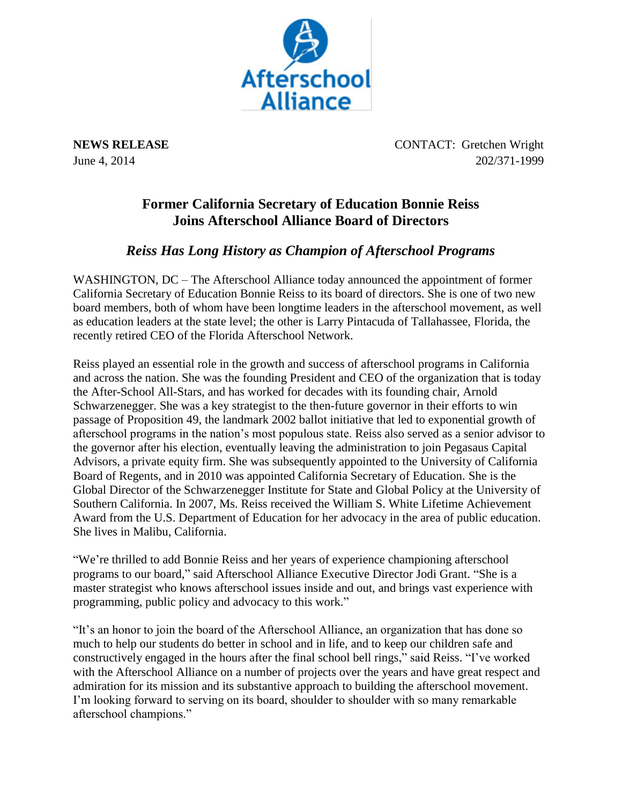

**NEWS RELEASE** CONTACT: Gretchen Wright June 4, 2014 202/371-1999

## **Former California Secretary of Education Bonnie Reiss Joins Afterschool Alliance Board of Directors**

## *Reiss Has Long History as Champion of Afterschool Programs*

WASHINGTON, DC – The Afterschool Alliance today announced the appointment of former California Secretary of Education Bonnie Reiss to its board of directors. She is one of two new board members, both of whom have been longtime leaders in the afterschool movement, as well as education leaders at the state level; the other is Larry Pintacuda of Tallahassee, Florida, the recently retired CEO of the Florida Afterschool Network.

Reiss played an essential role in the growth and success of afterschool programs in California and across the nation. She was the founding President and CEO of the organization that is today the After-School All-Stars, and has worked for decades with its founding chair, Arnold Schwarzenegger. She was a key strategist to the then-future governor in their efforts to win passage of Proposition 49, the landmark 2002 ballot initiative that led to exponential growth of afterschool programs in the nation's most populous state. Reiss also served as a senior advisor to the governor after his election, eventually leaving the administration to join Pegasaus Capital Advisors, a private equity firm. She was subsequently appointed to the University of California Board of Regents, and in 2010 was appointed California Secretary of Education. She is the Global Director of the Schwarzenegger Institute for State and Global Policy at the University of Southern California. In 2007, Ms. Reiss received the William S. White Lifetime Achievement Award from the U.S. Department of Education for her advocacy in the area of public education. She lives in Malibu, California.

"We're thrilled to add Bonnie Reiss and her years of experience championing afterschool programs to our board," said Afterschool Alliance Executive Director Jodi Grant. "She is a master strategist who knows afterschool issues inside and out, and brings vast experience with programming, public policy and advocacy to this work."

"It's an honor to join the board of the Afterschool Alliance, an organization that has done so much to help our students do better in school and in life, and to keep our children safe and constructively engaged in the hours after the final school bell rings," said Reiss. "I've worked with the Afterschool Alliance on a number of projects over the years and have great respect and admiration for its mission and its substantive approach to building the afterschool movement. I'm looking forward to serving on its board, shoulder to shoulder with so many remarkable afterschool champions."